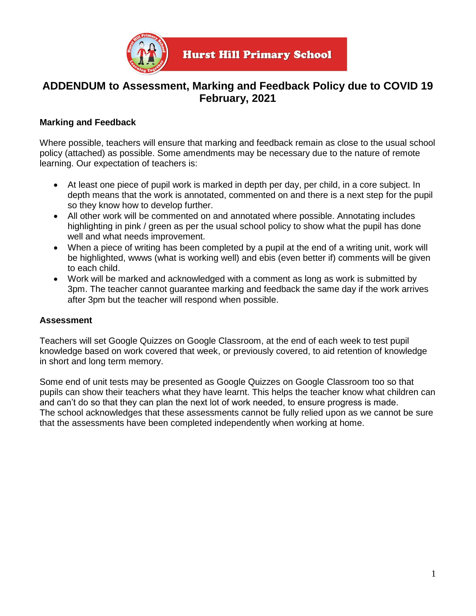

# **ADDENDUM to Assessment, Marking and Feedback Policy due to COVID 19 February, 2021**

# **Marking and Feedback**

Where possible, teachers will ensure that marking and feedback remain as close to the usual school policy (attached) as possible. Some amendments may be necessary due to the nature of remote learning. Our expectation of teachers is:

- At least one piece of pupil work is marked in depth per day, per child, in a core subject. In depth means that the work is annotated, commented on and there is a next step for the pupil so they know how to develop further.
- All other work will be commented on and annotated where possible. Annotating includes highlighting in pink / green as per the usual school policy to show what the pupil has done well and what needs improvement.
- When a piece of writing has been completed by a pupil at the end of a writing unit, work will be highlighted, wwws (what is working well) and ebis (even better if) comments will be given to each child.
- Work will be marked and acknowledged with a comment as long as work is submitted by 3pm. The teacher cannot guarantee marking and feedback the same day if the work arrives after 3pm but the teacher will respond when possible.

# **Assessment**

Teachers will set Google Quizzes on Google Classroom, at the end of each week to test pupil knowledge based on work covered that week, or previously covered, to aid retention of knowledge in short and long term memory.

Some end of unit tests may be presented as Google Quizzes on Google Classroom too so that pupils can show their teachers what they have learnt. This helps the teacher know what children can and can't do so that they can plan the next lot of work needed, to ensure progress is made. The school acknowledges that these assessments cannot be fully relied upon as we cannot be sure that the assessments have been completed independently when working at home.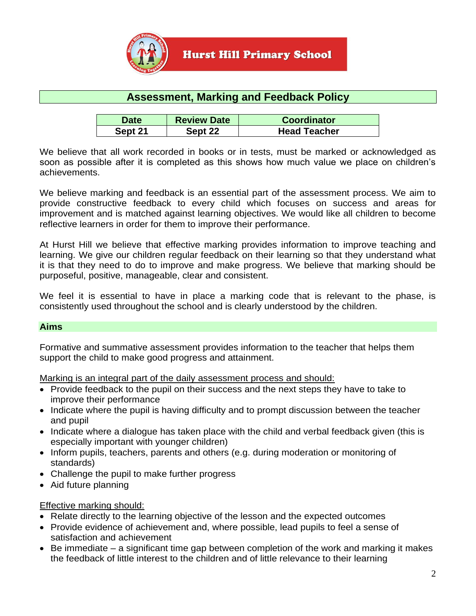

# **Assessment, Marking and Feedback Policy**

| <b>Date</b> | <b>Review Date</b> | <b>Coordinator</b>  |
|-------------|--------------------|---------------------|
| Sept 21     | Sept 22            | <b>Head Teacher</b> |

We believe that all work recorded in books or in tests, must be marked or acknowledged as soon as possible after it is completed as this shows how much value we place on children's achievements.

We believe marking and feedback is an essential part of the assessment process. We aim to provide constructive feedback to every child which focuses on success and areas for improvement and is matched against learning objectives. We would like all children to become reflective learners in order for them to improve their performance.

At Hurst Hill we believe that effective marking provides information to improve teaching and learning. We give our children regular feedback on their learning so that they understand what it is that they need to do to improve and make progress. We believe that marking should be purposeful, positive, manageable, clear and consistent.

We feel it is essential to have in place a marking code that is relevant to the phase, is consistently used throughout the school and is clearly understood by the children.

## **Aims**

Formative and summative assessment provides information to the teacher that helps them support the child to make good progress and attainment.

Marking is an integral part of the daily assessment process and should:

- Provide feedback to the pupil on their success and the next steps they have to take to improve their performance
- Indicate where the pupil is having difficulty and to prompt discussion between the teacher and pupil
- Indicate where a dialogue has taken place with the child and verbal feedback given (this is especially important with younger children)
- Inform pupils, teachers, parents and others (e.g. during moderation or monitoring of standards)
- Challenge the pupil to make further progress
- Aid future planning

## Effective marking should:

- Relate directly to the learning objective of the lesson and the expected outcomes
- Provide evidence of achievement and, where possible, lead pupils to feel a sense of satisfaction and achievement
- Be immediate a significant time gap between completion of the work and marking it makes the feedback of little interest to the children and of little relevance to their learning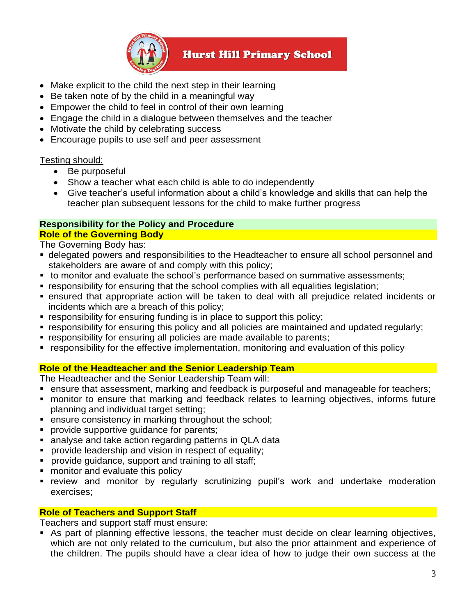

**Hurst Hill Primary School** 

- Make explicit to the child the next step in their learning
- Be taken note of by the child in a meaningful way
- Empower the child to feel in control of their own learning
- Engage the child in a dialogue between themselves and the teacher
- Motivate the child by celebrating success
- Encourage pupils to use self and peer assessment

## Testing should:

- Be purposeful
- Show a teacher what each child is able to do independently
- Give teacher's useful information about a child's knowledge and skills that can help the teacher plan subsequent lessons for the child to make further progress

#### **Responsibility for the Policy and Procedure Role of the Governing Body**

The Governing Body has:

- **delegated powers and responsibilities to the Headteacher to ensure all school personnel and** stakeholders are aware of and comply with this policy;
- to monitor and evaluate the school's performance based on summative assessments;
- **E** responsibility for ensuring that the school complies with all equalities legislation;
- ensured that appropriate action will be taken to deal with all prejudice related incidents or incidents which are a breach of this policy;
- responsibility for ensuring funding is in place to support this policy;
- **Example 1** responsibility for ensuring this policy and all policies are maintained and updated regularly;
- **Exercise in the interponal responsibility for ensuring all policies are made available to parents;**
- responsibility for the effective implementation, monitoring and evaluation of this policy

# **Role of the Headteacher and the Senior Leadership Team**

The Headteacher and the Senior Leadership Team will:

- ensure that assessment, marking and feedback is purposeful and manageable for teachers;
- monitor to ensure that marking and feedback relates to learning objectives, informs future planning and individual target setting;
- ensure consistency in marking throughout the school;
- **•** provide supportive quidance for parents;
- analyse and take action regarding patterns in QLA data
- **•** provide leadership and vision in respect of equality;
- provide guidance, support and training to all staff;
- monitor and evaluate this policy
- **EXTED FIGHT TERGO FIGHT FIGHT And THT IN THT IN THT IN THT IN THT IN THT IN THT IN THT IN THT IN THT IN THT IN THT IN THT IN THT IN THT IN THT IN THT IN THT IN THT IN THT IN THT IN THT IN THT IN THT IN THT IN THT IN THT I** exercises;

## **Role of Teachers and Support Staff**

Teachers and support staff must ensure:

**E** As part of planning effective lessons, the teacher must decide on clear learning objectives, which are not only related to the curriculum, but also the prior attainment and experience of the children. The pupils should have a clear idea of how to judge their own success at the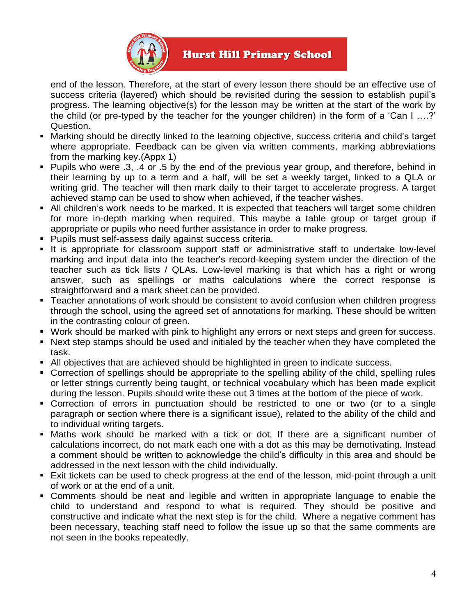

# **Hurst Hill Primary School**

end of the lesson. Therefore, at the start of every lesson there should be an effective use of success criteria (layered) which should be revisited during the session to establish pupil's progress. The learning objective(s) for the lesson may be written at the start of the work by the child (or pre-typed by the teacher for the younger children) in the form of a 'Can I ….?' Question.

- Marking should be directly linked to the learning objective, success criteria and child's target where appropriate. Feedback can be given via written comments, marking abbreviations from the marking key.(Appx 1)
- Pupils who were .3, .4 or .5 by the end of the previous year group, and therefore, behind in their learning by up to a term and a half, will be set a weekly target, linked to a QLA or writing grid. The teacher will then mark daily to their target to accelerate progress. A target achieved stamp can be used to show when achieved, if the teacher wishes.
- All children's work needs to be marked. It is expected that teachers will target some children for more in-depth marking when required. This maybe a table group or target group if appropriate or pupils who need further assistance in order to make progress.
- Pupils must self-assess daily against success criteria.
- **.** It is appropriate for classroom support staff or administrative staff to undertake low-level marking and input data into the teacher's record-keeping system under the direction of the teacher such as tick lists / QLAs. Low-level marking is that which has a right or wrong answer, such as spellings or maths calculations where the correct response is straightforward and a mark sheet can be provided.
- Teacher annotations of work should be consistent to avoid confusion when children progress through the school, using the agreed set of annotations for marking. These should be written in the contrasting colour of green.
- Work should be marked with pink to highlight any errors or next steps and green for success.
- Next step stamps should be used and initialed by the teacher when they have completed the task.
- All objectives that are achieved should be highlighted in green to indicate success.
- Correction of spellings should be appropriate to the spelling ability of the child, spelling rules or letter strings currently being taught, or technical vocabulary which has been made explicit during the lesson. Pupils should write these out 3 times at the bottom of the piece of work.
- Correction of errors in punctuation should be restricted to one or two (or to a single paragraph or section where there is a significant issue), related to the ability of the child and to individual writing targets.
- **Maths work should be marked with a tick or dot. If there are a significant number of** calculations incorrect, do not mark each one with a dot as this may be demotivating. Instead a comment should be written to acknowledge the child's difficulty in this area and should be addressed in the next lesson with the child individually.
- **Exit tickets can be used to check progress at the end of the lesson, mid-point through a unit** of work or at the end of a unit.
- Comments should be neat and legible and written in appropriate language to enable the child to understand and respond to what is required. They should be positive and constructive and indicate what the next step is for the child. Where a negative comment has been necessary, teaching staff need to follow the issue up so that the same comments are not seen in the books repeatedly.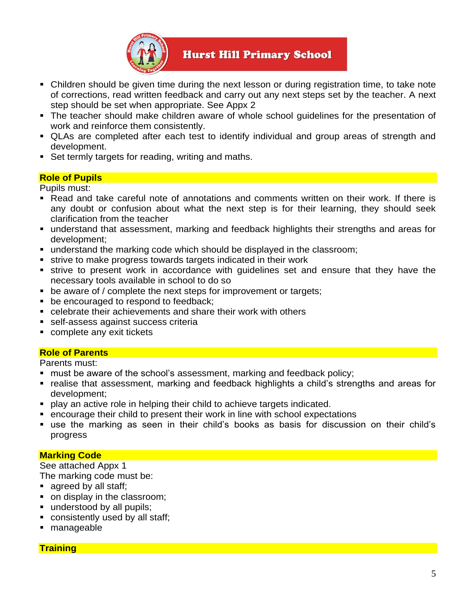

# **Hurst Hill Primary School**

- Children should be given time during the next lesson or during registration time, to take note of corrections, read written feedback and carry out any next steps set by the teacher. A next step should be set when appropriate. See Appx 2
- The teacher should make children aware of whole school guidelines for the presentation of work and reinforce them consistently.
- QLAs are completed after each test to identify individual and group areas of strength and development.
- Set termly targets for reading, writing and maths.

## **Role of Pupils**

Pupils must:

- Read and take careful note of annotations and comments written on their work. If there is any doubt or confusion about what the next step is for their learning, they should seek clarification from the teacher
- understand that assessment, marking and feedback highlights their strengths and areas for development;
- understand the marking code which should be displayed in the classroom;
- strive to make progress towards targets indicated in their work
- **Exercise set and set of the strive in secordance with guidelines set and ensure that they have the** necessary tools available in school to do so
- be aware of / complete the next steps for improvement or targets;
- be encouraged to respond to feedback;
- celebrate their achievements and share their work with others
- self-assess against success criteria
- complete any exit tickets

# **Role of Parents**

Parents must:

- must be aware of the school's assessment, marking and feedback policy;
- realise that assessment, marking and feedback highlights a child's strengths and areas for development;
- play an active role in helping their child to achieve targets indicated.
- encourage their child to present their work in line with school expectations
- use the marking as seen in their child's books as basis for discussion on their child's progress

# **Marking Code**

See attached Appx 1 The marking code must be:

- agreed by all staff;
- on display in the classroom;
- understood by all pupils;
- consistently used by all staff;
- manageable

## **Training**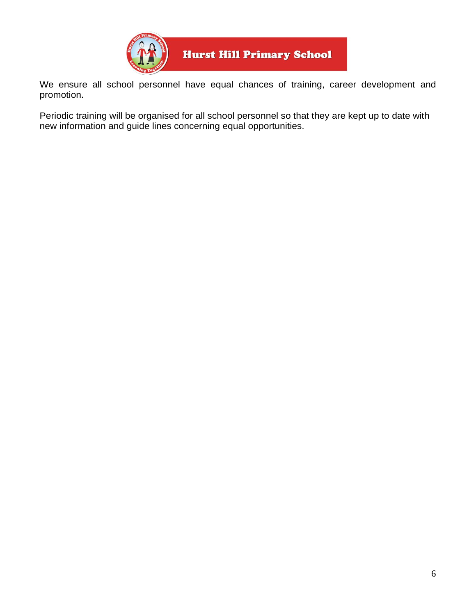

We ensure all school personnel have equal chances of training, career development and promotion.

Periodic training will be organised for all school personnel so that they are kept up to date with new information and guide lines concerning equal opportunities.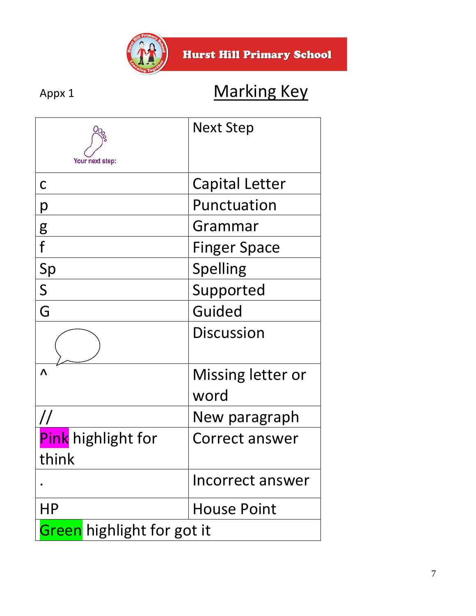

# Appx 1 Marking Key

| Your next step:                   | Next Step             |  |
|-----------------------------------|-----------------------|--|
| C                                 | <b>Capital Letter</b> |  |
| р                                 | Punctuation           |  |
|                                   | Grammar               |  |
| $\frac{g}{f}$                     | <b>Finger Space</b>   |  |
| Sp                                | Spelling              |  |
| $\overline{\mathsf{S}}$           | Supported             |  |
| G                                 | Guided                |  |
|                                   | <b>Discussion</b>     |  |
| Λ                                 | Missing letter or     |  |
|                                   | word                  |  |
| $\overline{\mu}$                  | New paragraph         |  |
| Pink highlight for                | Correct answer        |  |
| think                             |                       |  |
|                                   | Incorrect answer      |  |
| ΗP                                | <b>House Point</b>    |  |
| <b>Green</b> highlight for got it |                       |  |